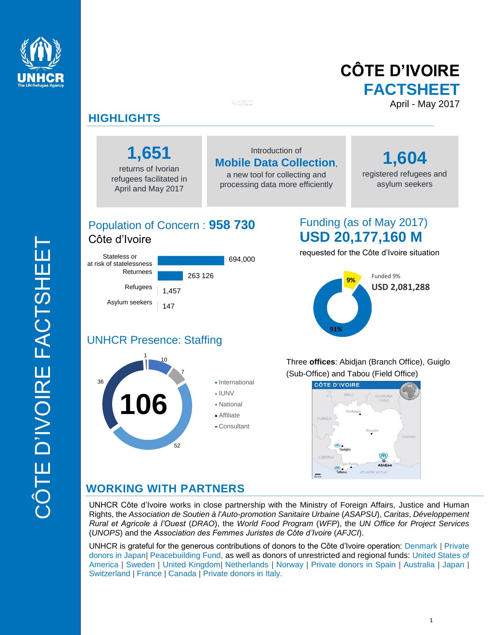

# **CÔTE D'IVOIRE FACTSHEET** April - May 2017

## **HIGHLIGHTS**

**1,651**

returns of Ivorian refugees facilitated in April and May 2017

### Introduction of **Mobile Data Collection**,

a new tool for collecting and processing data more efficiently

**1,604**  registered refugees and asylum seekers

## Population of Concern : **958 730** Côte d'Ivoire

147

1,457

263 126

694,000

## Funding (as of May 2017) **USD 20,177,160 M**

requested for the Côte d'Ivoire situation



#### 10 1 UNHCR Presence: Staffing

Asylum seekers

Stateless or at risk of statelessness

> Refugees **Returnees**



Three **offices**: Abidjan (Branch Office), Guiglo (Sub-Office) and Tabou (Field Office)



## **WORKING WITH PARTNERS**

UNHCR Côte d'Ivoire works in close partnership with the Ministry of Foreign Affairs, Justice and Human Rights, the *Association de Soutien à l'Auto-promotion Sanitaire Urbaine* (*ASAPSU*), *Caritas*, *Développement Rural et Agricole à l'Ouest* (*DRAO*), the *World Food Program* (*WFP*), the *UN Office for Project Services* (*UNOPS*) and the *Association des Femmes Juristes de Côte d'Ivoire* (*AFJCI*).

UNHCR is grateful for the generous contributions of donors to the Côte d'Ivoire operation: Denmark | Private donors in Japan| Peacebuilding Fund, as well as donors of unrestricted and regional funds: United States of America | Sweden | United Kingdom| Netherlands | Norway | Private donors in Spain | Australia | Japan | Switzerland | France | Canada | Private donors in Italy.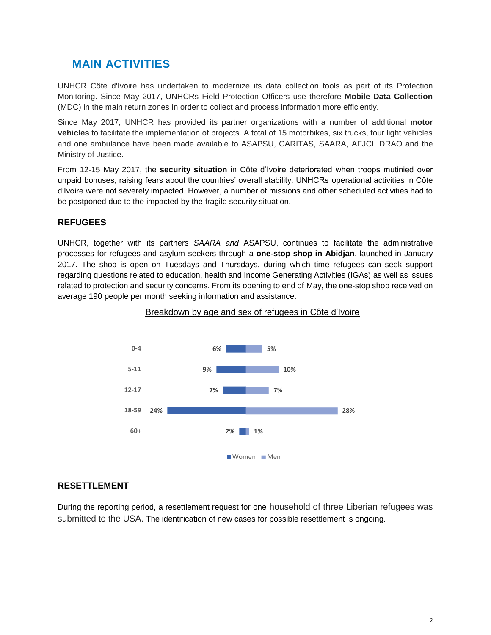### **MAIN ACTIVITIES**

UNHCR Côte d'Ivoire has undertaken to modernize its data collection tools as part of its Protection Monitoring. Since May 2017, UNHCRs Field Protection Officers use therefore **Mobile Data Collection**  (MDC) in the main return zones in order to collect and process information more efficiently.

Since May 2017, UNHCR has provided its partner organizations with a number of additional **motor vehicles** to facilitate the implementation of projects. A total of 15 motorbikes, six trucks, four light vehicles and one ambulance have been made available to ASAPSU, CARITAS, SAARA, AFJCI, DRAO and the Ministry of Justice.

From 12-15 May 2017, the **security situation** in Côte d'Ivoire deteriorated when troops mutinied over unpaid bonuses, raising fears about the countries' overall stability. UNHCRs operational activities in Côte d'Ivoire were not severely impacted. However, a number of missions and other scheduled activities had to be postponed due to the impacted by the fragile security situation.

### **REFUGEES**

UNHCR, together with its partners *SAARA and* ASAPSU, continues to facilitate the administrative processes for refugees and asylum seekers through a **one-stop shop in Abidjan**, launched in January 2017. The shop is open on Tuesdays and Thursdays, during which time refugees can seek support regarding questions related to education, health and Income Generating Activities (IGAs) as well as issues related to protection and security concerns. From its opening to end of May, the one-stop shop received on average 190 people per month seeking information and assistance.



### Breakdown by age and sex of refugees in Côte d'Ivoire

### **RESETTLEMENT**

During the reporting period, a resettlement request for one household of three Liberian refugees was submitted to the USA. The identification of new cases for possible resettlement is ongoing.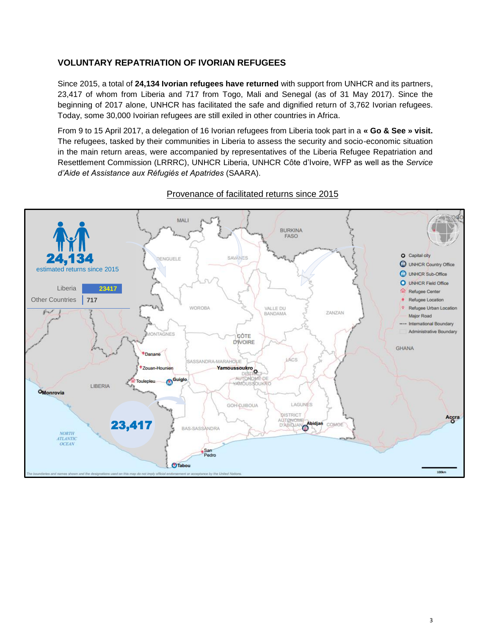### **VOLUNTARY REPATRIATION OF IVORIAN REFUGEES**

Since 2015, a total of **24,134 Ivorian refugees have returned** with support from UNHCR and its partners, 23,417 of whom from Liberia and 717 from Togo, Mali and Senegal (as of 31 May 2017). Since the beginning of 2017 alone, UNHCR has facilitated the safe and dignified return of 3,762 Ivorian refugees. Today, some 30,000 Ivoirian refugees are still exiled in other countries in Africa.

From 9 to 15 April 2017, a delegation of 16 Ivorian refugees from Liberia took part in a **« Go & See » visit.** The refugees, tasked by their communities in Liberia to assess the security and socio-economic situation in the main return areas, were accompanied by representatives of the Liberia Refugee Repatriation and Resettlement Commission (LRRRC), UNHCR Liberia, UNHCR Côte d'Ivoire, WFP as well as the *Service d'Aide et Assistance aux Réfugiés et Apatrides* (SAARA).



### Provenance of facilitated returns since 2015